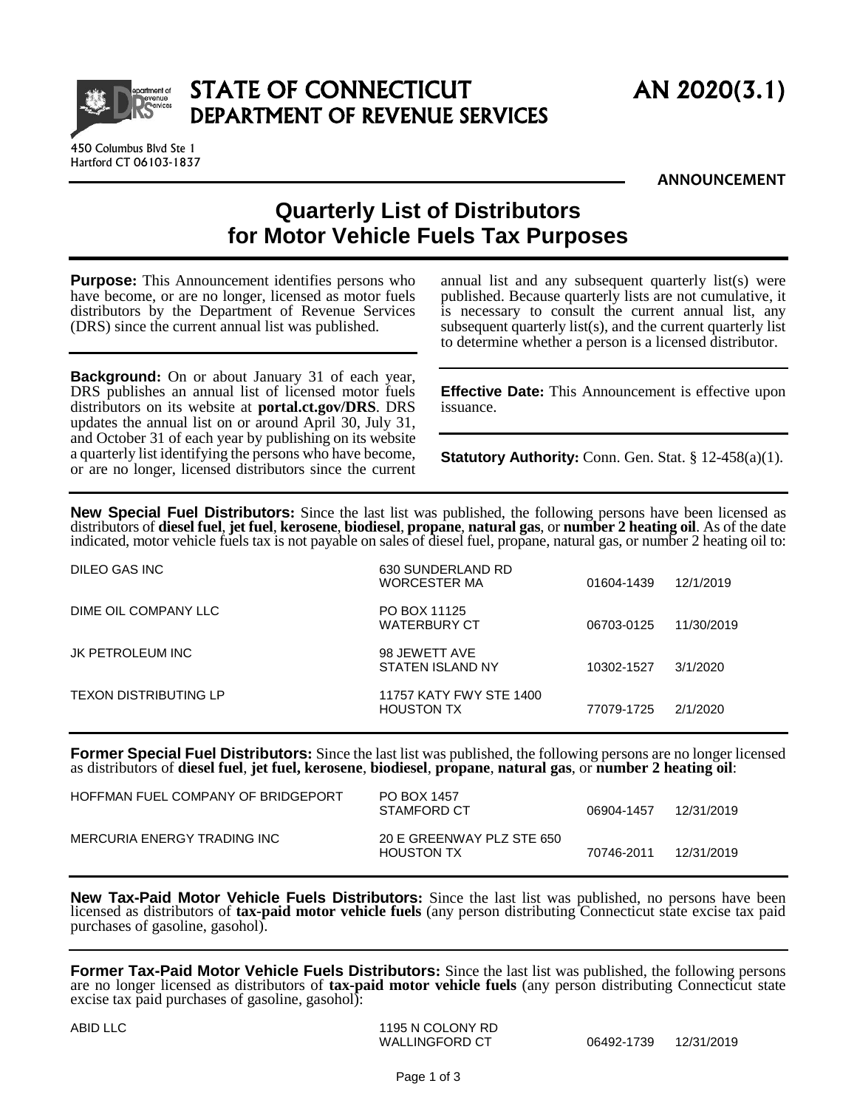

450 Columbus Blvd Ste 1 Hartford CT 06103-1837

**ANNOUNCEMENT**

## **Quarterly List of Distributors for Motor Vehicle Fuels Tax Purposes**

**Purpose:** This Announcement identifies persons who have become, or are no longer, licensed as motor fuels distributors by the Department of Revenue Services (DRS) since the current annual list was published.

**Background:** On or about January 31 of each year, DRS publishes an annual list of licensed motor fuels distributors on its website at **[portal.ct.gov/DRS](https://portal.ct.gov/DRS)**. DRS updates the annual list on or around April 30, July 31, and October 31 of each year by publishing on its website a quarterly list identifying the persons who have become, or are no longer, licensed distributors since the current annual list and any subsequent quarterly list(s) were published. Because quarterly lists are not cumulative, it is necessary to consult the current annual list, any subsequent quarterly list(s), and the current quarterly list to determine whether a person is a licensed distributor.

**Effective Date:** This Announcement is effective upon issuance.

**Statutory Authority:** Conn. Gen. Stat. § 12-458(a)(1).

**New Special Fuel Distributors:** Since the last list was published, the following persons have been licensed as distributors of **diesel fuel**, **jet fuel**, **kerosene**, **biodiesel**, **propane**, **natural gas**, or **number 2 heating oil**. As of the date indicated, motor vehicle fuels tax is not payable on sales of diesel fuel, propane, natural gas, or number 2 heating oil to:

| DILEO GAS INC                | 630 SUNDERLAND RD<br><b>WORCESTER MA</b>     | 01604-1439 | 12/1/2019  |
|------------------------------|----------------------------------------------|------------|------------|
| DIME OIL COMPANY LLC         | PO BOX 11125<br><b>WATERBURY CT</b>          | 06703-0125 | 11/30/2019 |
| JK PETROLEUM INC             | 98 JEWETT AVE<br>STATEN ISLAND NY            | 10302-1527 | 3/1/2020   |
| <b>TEXON DISTRIBUTING LP</b> | 11757 KATY FWY STE 1400<br><b>HOUSTON TX</b> | 77079-1725 | 2/1/2020   |

**Former Special Fuel Distributors:** Since the last list was published, the following persons are no longer licensed as distributors of **diesel fuel**, **jet fuel, kerosene**, **biodiesel**, **propane**, **natural gas**, or **number 2 heating oil**:

| HOFFMAN FUEL COMPANY OF BRIDGEPORT | PO BOX 1457<br>STAMFORD CT                     | 06904-1457 | 12/31/2019 |
|------------------------------------|------------------------------------------------|------------|------------|
| MERCURIA ENERGY TRADING INC        | 20 E GREENWAY PLZ STE 650<br><b>HOUSTON TX</b> | 70746-2011 | 12/31/2019 |

**New Tax-Paid Motor Vehicle Fuels Distributors:** Since the last list was published, no persons have been licensed as distributors of **tax-paid motor vehicle fuels** (any person distributing Connecticut state excise tax paid purchases of gasoline, gasohol).

**Former Tax-Paid Motor Vehicle Fuels Distributors:** Since the last list was published, the following persons are no longer licensed as distributors of **tax-paid motor vehicle fuels** (any person distributing Connecticut state excise tax paid purchases of gasoline, gasohol):

ABID LLC 1195 N COLONY RD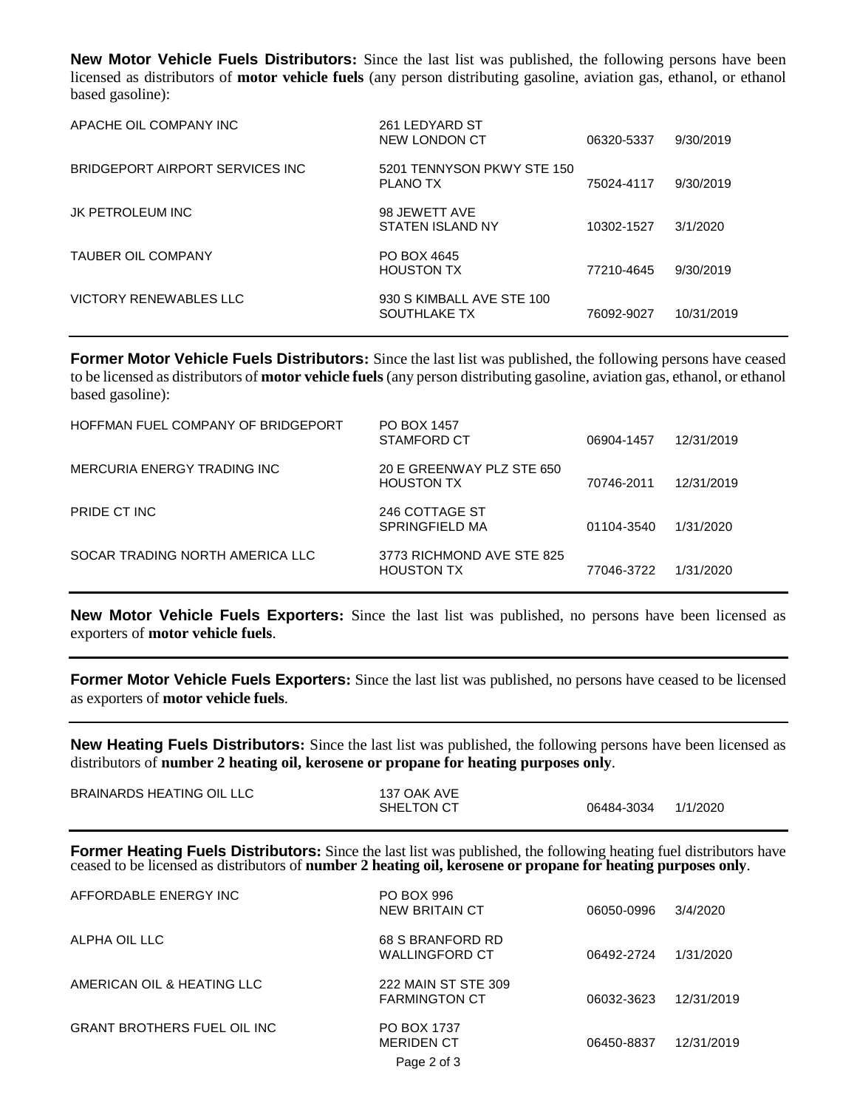**New Motor Vehicle Fuels Distributors:** Since the last list was published, the following persons have been licensed as distributors of **motor vehicle fuels** (any person distributing gasoline, aviation gas, ethanol, or ethanol based gasoline):

| APACHE OIL COMPANY INC           | 261 LEDYARD ST<br>NEW LONDON CT               | 06320-5337 | 9/30/2019  |
|----------------------------------|-----------------------------------------------|------------|------------|
| BRIDGEPORT AIRPORT SERVICES INC. | 5201 TENNYSON PKWY STE 150<br><b>PLANO TX</b> | 75024-4117 | 9/30/2019  |
| JK PETROLEUM INC                 | 98 JEWETT AVE<br>STATEN ISLAND NY             | 10302-1527 | 3/1/2020   |
| <b>TAUBER OIL COMPANY</b>        | PO BOX 4645<br><b>HOUSTON TX</b>              | 77210-4645 | 9/30/2019  |
| VICTORY RENEWABLES LLC           | 930 S KIMBALL AVE STE 100<br>SOUTHLAKE TX     | 76092-9027 | 10/31/2019 |

**Former Motor Vehicle Fuels Distributors:** Since the last list was published, the following persons have ceased to be licensed as distributors of **motor vehicle fuels**(any person distributing gasoline, aviation gas, ethanol, or ethanol based gasoline):

| HOFFMAN FUEL COMPANY OF BRIDGEPORT | <b>PO BOX 1457</b><br>STAMFORD CT              | 06904-1457 | 12/31/2019 |
|------------------------------------|------------------------------------------------|------------|------------|
| MERCURIA ENERGY TRADING INC        | 20 E GREENWAY PLZ STE 650<br><b>HOUSTON TX</b> | 70746-2011 | 12/31/2019 |
| PRIDE CT INC                       | 246 COTTAGE ST<br>SPRINGFIELD MA               | 01104-3540 | 1/31/2020  |
| SOCAR TRADING NORTH AMERICA LLC    | 3773 RICHMOND AVE STE 825<br><b>HOUSTON TX</b> | 77046-3722 | 1/31/2020  |

**New Motor Vehicle Fuels Exporters:** Since the last list was published, no persons have been licensed as exporters of **motor vehicle fuels**.

**Former Motor Vehicle Fuels Exporters:** Since the last list was published, no persons have ceased to be licensed as exporters of **motor vehicle fuels**.

**New Heating Fuels Distributors:** Since the last list was published, the following persons have been licensed as distributors of **number 2 heating oil, kerosene or propane for heating purposes only**.

| BRAINARDS HEATING OIL LLC | 137 OAK AVE |            |          |
|---------------------------|-------------|------------|----------|
|                           | SHELTON CT  | 06484-3034 | 1/1/2020 |

**Former Heating Fuels Distributors:** Since the last list was published, the following heating fuel distributors have ceased to be licensed as distributors of **number 2 heating oil, kerosene or propane for heating purposes only**.

| AFFORDABLE ENERGY INC              | PO BOX 996<br><b>NEW BRITAIN CT</b>                    | 06050-0996 | 3/4/2020   |
|------------------------------------|--------------------------------------------------------|------------|------------|
| ALPHA OIL LLC                      | 68 S BRANFORD RD<br>WALLINGFORD CT                     | 06492-2724 | 1/31/2020  |
| AMERICAN OIL & HEATING LLC         | 222 MAIN ST STE 309<br><b>FARMINGTON CT</b>            | 06032-3623 | 12/31/2019 |
| <b>GRANT BROTHERS FUEL OIL INC</b> | <b>PO BOX 1737</b><br><b>MERIDEN CT</b><br>Page 2 of 3 | 06450-8837 | 12/31/2019 |